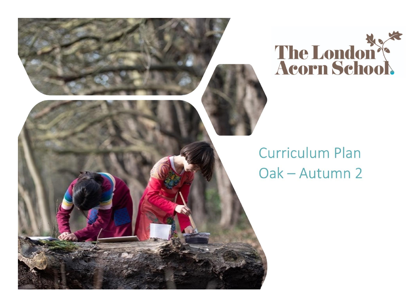



## **Curriculum Plan** Oak - Autumn 2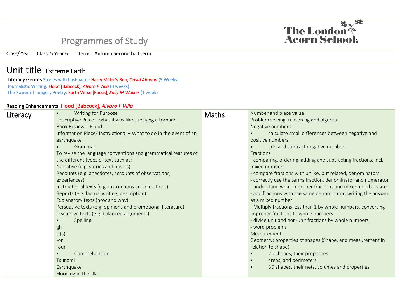## Programmes of Study



## Unit title : Extreme Earth

Literacy Genres Stories with flashbacks: Harry Miller's Run, *David Almond* (3 Weeks) Journalistic Writing: Flood [Babcock], *Alvaro F Villa* (3 weeks) The Power of Imagery Poetry: Earth Verse [Focus], *Sally M Walker* (1 week)

## Reading Enhancements Flood [Babcock], *Alvaro F Villa*

| Literacy | <b>Writing for Purpose</b><br>$\bullet$                          | <b>Maths</b> | Number and place value                                         |
|----------|------------------------------------------------------------------|--------------|----------------------------------------------------------------|
|          | Descriptive Piece - what it was like surviving a tornado         |              | Problem solving, reasoning and algebra                         |
|          | Book Review - Flood                                              |              | Negative numbers                                               |
|          | Information Piece/ Instructional - What to do in the event of an |              | calculate small differences between negative and               |
|          | earthquake                                                       |              | positive numbers                                               |
|          | Grammar                                                          |              | add and subtract negative numbers                              |
|          | To revise the language conventions and grammatical features of   |              | <b>Fractions</b>                                               |
|          | the different types of text such as:                             |              | - comparing, ordering, adding and subtracting fractions, incl. |
|          | Narrative (e.g. stories and novels)                              |              | mixed numbers                                                  |
|          | Recounts (e.g. anecdotes, accounts of observations,              |              | - compare fractions with unlike, but related, denominators     |
|          | experiences)                                                     |              | - correctly use the terms fraction, denominator and numerator  |
|          | Instructional texts (e.g. instructions and directions)           |              | - understand what improper fractions and mixed numbers are     |
|          | Reports (e.g. factual writing, description)                      |              | - add fractions with the same denominator, writing the answer  |
|          | Explanatory texts (how and why)                                  |              | as a mixed number                                              |
|          | Persuasive texts (e.g. opinions and promotional literature)      |              | - Multiply fractions less than 1 by whole numbers, converting  |
|          | Discursive texts (e.g. balanced arguments)                       |              | improper fractions to whole numbers                            |
|          | Spelling                                                         |              | - divide unit and non-unit fractions by whole numbers          |
|          | gh                                                               |              | - word problems                                                |
|          | C(S)                                                             |              | Measurement                                                    |
|          | $-or$                                                            |              | Geometry: properties of shapes (Shape, and measurement in      |
|          | $-0ur$                                                           |              | relation to shape)                                             |
|          | Comprehension<br>$\bullet$                                       |              | 2D shapes, their properties                                    |
|          | Tsunami                                                          |              | areas, and perimeters<br>$\bullet$                             |
|          | Earthquake                                                       |              | 3D shapes, their nets, volumes and properties<br>$\bullet$     |
|          | Flooding in the UK                                               |              |                                                                |

The London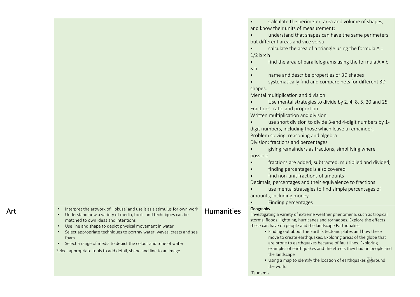|                                                                                                                                                                                                                                                                                                                                                                                                                                                                                                                         |                   | Calculate the perimeter, area and volume of shapes,<br>and know their units of measurement;<br>understand that shapes can have the same perimeters<br>$\bullet$<br>but different areas and vice versa<br>calculate the area of a triangle using the formula $A =$<br>$\bullet$<br>$1/2 b \times h$<br>find the area of parallelograms using the formula $A = b$<br>$\bullet$<br>$\times h$<br>name and describe properties of 3D shapes<br>$\bullet$<br>systematically find and compare nets for different 3D<br>$\bullet$<br>shapes.<br>Mental multiplication and division<br>Use mental strategies to divide by 2, 4, 8, 5, 20 and 25<br>Fractions, ratio and proportion<br>Written multiplication and division<br>use short division to divide 3-and 4-digit numbers by 1-<br>$\bullet$<br>digit numbers, including those which leave a remainder;<br>Problem solving, reasoning and algebra<br>Division; fractions and percentages<br>giving remainders as fractions, simplifying where<br>possible<br>fractions are added, subtracted, multiplied and divided;<br>$\bullet$<br>finding percentages is also covered.<br>$\bullet$<br>find non-unit fractions of amounts<br>Decimals, percentages and their equivalence to fractions<br>use mental strategies to find simple percentages of<br>amounts, including money |
|-------------------------------------------------------------------------------------------------------------------------------------------------------------------------------------------------------------------------------------------------------------------------------------------------------------------------------------------------------------------------------------------------------------------------------------------------------------------------------------------------------------------------|-------------------|----------------------------------------------------------------------------------------------------------------------------------------------------------------------------------------------------------------------------------------------------------------------------------------------------------------------------------------------------------------------------------------------------------------------------------------------------------------------------------------------------------------------------------------------------------------------------------------------------------------------------------------------------------------------------------------------------------------------------------------------------------------------------------------------------------------------------------------------------------------------------------------------------------------------------------------------------------------------------------------------------------------------------------------------------------------------------------------------------------------------------------------------------------------------------------------------------------------------------------------------------------------------------------------------------------------------------|
| Interpret the artwork of Hokusai and use it as a stimulus for own work<br>$\bullet$<br>$\bullet$<br>Understand how a variety of media, tools and techniques can be<br>matched to own ideas and intentions<br>Use line and shape to depict physical movement in water<br>$\bullet$<br>Select appropriate techniques to portray water, waves, crests and sea<br>$\bullet$<br>foam<br>Select a range of media to depict the colour and tone of water<br>Select appropriate tools to add detail, shape and line to an image | <b>Humanities</b> | Finding percentages<br>$\bullet$<br>Geography<br>Investigating a variety of extreme weather phenomena, such as tropical<br>storms, floods, lightning, hurricanes and tornadoes. Explore the effects<br>these can have on people and the landscape Earthquakes<br>• Finding out about the Earth's tectonic plates and how these<br>move to create earthquakes. Exploring areas of the globe that<br>are prone to earthquakes because of fault lines. Exploring<br>examples of earthquakes and the effects they had on people and<br>the landscape<br>• Using a map to identify the location of earthquakes striaround<br>the world<br>Tsunamis                                                                                                                                                                                                                                                                                                                                                                                                                                                                                                                                                                                                                                                                              |
|                                                                                                                                                                                                                                                                                                                                                                                                                                                                                                                         |                   |                                                                                                                                                                                                                                                                                                                                                                                                                                                                                                                                                                                                                                                                                                                                                                                                                                                                                                                                                                                                                                                                                                                                                                                                                                                                                                                            |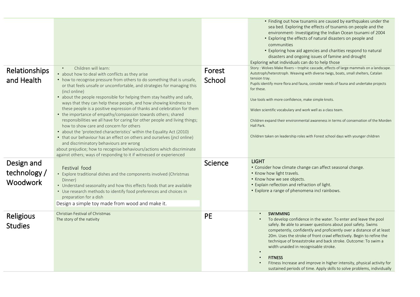|                             |                                                                                                                                                                                                                                                                                                                                                  |           | • Finding out how tsunamis are caused by earthquakes under the<br>sea bed. Exploring the effects of tsunamis on people and the<br>environment- Investigating the Indian Ocean tsunami of 2004<br>• Exploring the effects of natural disasters on people and<br>communities<br>• Exploring how aid agencies and charities respond to natural<br>disasters and ongoing issues of famine and drought<br>Exploring what individuals can do to help those                                                                                                                                  |
|-----------------------------|--------------------------------------------------------------------------------------------------------------------------------------------------------------------------------------------------------------------------------------------------------------------------------------------------------------------------------------------------|-----------|---------------------------------------------------------------------------------------------------------------------------------------------------------------------------------------------------------------------------------------------------------------------------------------------------------------------------------------------------------------------------------------------------------------------------------------------------------------------------------------------------------------------------------------------------------------------------------------|
| Relationships               | Children will learn:<br>• about how to deal with conflicts as they arise                                                                                                                                                                                                                                                                         | Forest    | Story: Wolves Make Rivers - trophic cascade, effects of large mammals on a landscape.<br>Autotroph/heterotroph. Weaving with diverse twigs, boats, small shelters, Catalan                                                                                                                                                                                                                                                                                                                                                                                                            |
| and Health                  | • how to recognise pressure from others to do something that is unsafe,<br>or that feels unsafe or uncomfortable, and strategies for managing this<br>(incl online)                                                                                                                                                                              | School    | tension tray.<br>Pupils identify more flora and fauna, consider needs of fauna and undertake projects<br>for these.                                                                                                                                                                                                                                                                                                                                                                                                                                                                   |
|                             | • about the people responsible for helping them stay healthy and safe,<br>ways that they can help these people, and how showing kindness to                                                                                                                                                                                                      |           | Use tools with more confidence, make simple knots.                                                                                                                                                                                                                                                                                                                                                                                                                                                                                                                                    |
|                             | these people is a positive expression of thanks and celebration for them<br>• the importance of empathy/compassion towards others; shared                                                                                                                                                                                                        |           | Widen scientific vocabulary and work well as a class team.                                                                                                                                                                                                                                                                                                                                                                                                                                                                                                                            |
|                             | responsibilities we all have for caring for other people and living things;<br>how to show care and concern for others                                                                                                                                                                                                                           |           | Children expand their environmental awareness in terms of conservation of the Morden<br>Hall Park.                                                                                                                                                                                                                                                                                                                                                                                                                                                                                    |
|                             | • about the 'protected characteristics' within the Equality Act (2010)<br>• that our behaviour has an effect on others and ourselves (jncl online)<br>and discriminatory behaviours are wrong<br>about prejudice; how to recognise behaviours/actions which discriminate<br>against others; ways of responding to it if witnessed or experienced |           | Children taken on leadership roles with Forest school days with younger children                                                                                                                                                                                                                                                                                                                                                                                                                                                                                                      |
| Design and                  | Festival food                                                                                                                                                                                                                                                                                                                                    | Science   | <b>LIGHT</b><br>• Consider how climate change can affect seasonal change.                                                                                                                                                                                                                                                                                                                                                                                                                                                                                                             |
| technology /                | • Explore traditional dishes and the components involved (Christmas                                                                                                                                                                                                                                                                              |           | • Know how light travels.                                                                                                                                                                                                                                                                                                                                                                                                                                                                                                                                                             |
| Woodwork                    | Dinner)<br>• Understand seasonality and how this effects foods that are available                                                                                                                                                                                                                                                                |           | • Know how we see objects.<br>• Explain reflection and refraction of light.                                                                                                                                                                                                                                                                                                                                                                                                                                                                                                           |
|                             | • Use research methods to identify food preferences and choices in                                                                                                                                                                                                                                                                               |           | • Explore a range of phenomena incl rainbows.                                                                                                                                                                                                                                                                                                                                                                                                                                                                                                                                         |
|                             | preparation for a dish                                                                                                                                                                                                                                                                                                                           |           |                                                                                                                                                                                                                                                                                                                                                                                                                                                                                                                                                                                       |
|                             | Design a simple toy made from wood and make it.                                                                                                                                                                                                                                                                                                  |           |                                                                                                                                                                                                                                                                                                                                                                                                                                                                                                                                                                                       |
| Religious<br><b>Studies</b> | Christian Festival of Christmas<br>The story of the nativity                                                                                                                                                                                                                                                                                     | <b>PE</b> | <b>SWIMMING</b><br>To develop confidence in the water. To enter and leave the pool<br>safely. Be able to answer questions about pool safety. Swims<br>competently, confidently and proficiently over a distance of at least<br>20m. Uses the stroke of front crawl effectively. Begin to refine the<br>technique of breaststroke and back stroke. Outcome: To swim a<br>width unaided in recognisable stroke.<br><b>FITNESS</b><br>Fitness Increase and improve in higher intensity, physical activity for<br>sustained periods of time. Apply skills to solve problems, individually |